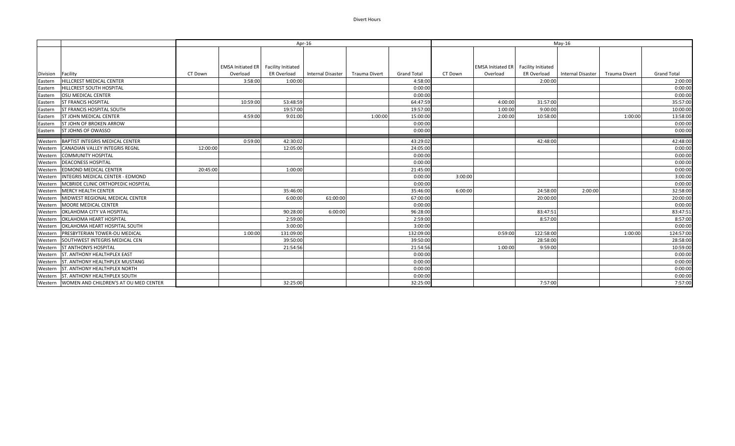## Divert Hours

|                   |                                        | Apr-16   |                                      |                    |                          |               | $May-16$           |         |                                             |             |                   |                      |                    |
|-------------------|----------------------------------------|----------|--------------------------------------|--------------------|--------------------------|---------------|--------------------|---------|---------------------------------------------|-------------|-------------------|----------------------|--------------------|
|                   |                                        |          |                                      |                    |                          |               |                    |         |                                             |             |                   |                      |                    |
|                   |                                        |          |                                      |                    |                          |               |                    |         |                                             |             |                   |                      |                    |
|                   |                                        |          | EMSA Initiated ER Facility Initiated |                    |                          |               |                    |         | <b>EMSA Initiated ER</b> Facility Initiated |             |                   |                      |                    |
| Division Facility |                                        | CT Down  | Overload                             | <b>ER Overload</b> | <b>Internal Disaster</b> | Trauma Divert | <b>Grand Total</b> | CT Down | Overload                                    | ER Overload | Internal Disaster | <b>Trauma Divert</b> | <b>Grand Total</b> |
| Eastern           | <b>HILLCREST MEDICAL CENTER</b>        |          | 3:58:00                              | 1:00:00            |                          |               | 4:58:00            |         |                                             | 2:00:00     |                   |                      | 2:00:00            |
| Eastern           | HILLCREST SOUTH HOSPITAL               |          |                                      |                    |                          |               | 0:00:00            |         |                                             |             |                   |                      | 0:00:00            |
| Eastern           | <b>OSU MEDICAL CENTER</b>              |          |                                      |                    |                          |               | 0:00:00            |         |                                             |             |                   |                      | 0:00:00            |
| Eastern           | <b>ST FRANCIS HOSPITAL</b>             |          | 10:59:00                             | 53:48:59           |                          |               | 64:47:59           |         | 4:00:00                                     | 31:57:00    |                   |                      | 35:57:00           |
| Eastern           | <b>ST FRANCIS HOSPITAL SOUTH</b>       |          |                                      | 19:57:00           |                          |               | 19:57:00           |         | 1:00:00                                     | 9:00:00     |                   |                      | 10:00:00           |
| Eastern           | <b>ST JOHN MEDICAL CENTER</b>          |          | 4:59:00                              | 9:01:00            |                          | 1:00:00       | 15:00:00           |         | 2:00:00                                     | 10:58:00    |                   | 1:00:00              | 13:58:00           |
| Eastern           | ST JOHN OF BROKEN ARROW                |          |                                      |                    |                          |               | 0:00:00            |         |                                             |             |                   |                      | 0:00:00            |
| Eastern           | <b>ST JOHNS OF OWASSO</b>              |          |                                      |                    |                          |               | 0:00:00            |         |                                             |             |                   |                      | 0:00:00            |
| Western           | <b>BAPTIST INTEGRIS MEDICAL CENTER</b> |          | 0:59:00                              | 42:30:02           |                          |               | 43:29:02           |         |                                             | 42:48:00    |                   |                      | 42:48:00           |
| Western           | <b>CANADIAN VALLEY INTEGRIS REGNL</b>  | 12:00:00 |                                      | 12:05:00           |                          |               | 24:05:00           |         |                                             |             |                   |                      | 0:00:00            |
| Western           | <b>COMMUNITY HOSPITAL</b>              |          |                                      |                    |                          |               | 0:00:00            |         |                                             |             |                   |                      | 0:00:00            |
| Western           | <b>DEACONESS HOSPITAL</b>              |          |                                      |                    |                          |               | 0:00:00            |         |                                             |             |                   |                      | 0:00:00            |
| Western           | <b>EDMOND MEDICAL CENTER</b>           | 20:45:00 |                                      | 1:00:00            |                          |               | 21:45:00           |         |                                             |             |                   |                      | 0:00:00            |
| Western           | INTEGRIS MEDICAL CENTER - EDMOND       |          |                                      |                    |                          |               | 0:00:00            | 3:00:00 |                                             |             |                   |                      | 3:00:00            |
| Western           | MCBRIDE CLINIC ORTHOPEDIC HOSPITAL     |          |                                      |                    |                          |               | 0:00:00            |         |                                             |             |                   |                      | 0:00:00            |
|                   | Western   MERCY HEALTH CENTER          |          |                                      | 35:46:00           |                          |               | 35:46:00           | 6:00:00 |                                             | 24:58:00    | 2:00:00           |                      | 32:58:00           |
| Western           | MIDWEST REGIONAL MEDICAL CENTER        |          |                                      | 6:00:00            | 61:00:00                 |               | 67:00:00           |         |                                             | 20:00:00    |                   |                      | 20:00:00           |
| Western           | MOORE MEDICAL CENTER                   |          |                                      |                    |                          |               | 0:00:00            |         |                                             |             |                   |                      | 0:00:00            |
| Western           | OKLAHOMA CITY VA HOSPITAL              |          |                                      | 90:28:00           | 6:00:00                  |               | 96:28:00           |         |                                             | 83:47:51    |                   |                      | 83:47:51           |
| Western           | <b>OKLAHOMA HEART HOSPITAL</b>         |          |                                      | 2:59:00            |                          |               | 2:59:00            |         |                                             | 8:57:00     |                   |                      | 8:57:00            |
| Western           | OKLAHOMA HEART HOSPITAL SOUTH          |          |                                      | 3:00:00            |                          |               | 3:00:00            |         |                                             |             |                   |                      | 0:00:00            |
| Western           | <b>PRESBYTERIAN TOWER-OU MEDICAL</b>   |          | 1:00:00                              | 131:09:00          |                          |               | 132:09:00          |         | 0:59:00                                     | 122:58:00   |                   | 1:00:00              | 124:57:00          |
|                   | Western SOUTHWEST INTEGRIS MEDICAL CEN |          |                                      | 39:50:00           |                          |               | 39:50:00           |         |                                             | 28:58:00    |                   |                      | 28:58:00           |
| Western           | <b>ST ANTHONYS HOSPITAL</b>            |          |                                      | 21:54:56           |                          |               | 21:54:56           |         | 1:00:00                                     | 9:59:00     |                   |                      | 10:59:00           |
| Western           | <b>ST. ANTHONY HEALTHPLEX EAST</b>     |          |                                      |                    |                          |               | 0:00:00            |         |                                             |             |                   |                      | 0:00:00            |
| Western           | ST. ANTHONY HEALTHPLEX MUSTANG         |          |                                      |                    |                          |               | 0:00:00            |         |                                             |             |                   |                      | 0:00:00            |
| Western           | <b>ST. ANTHONY HEALTHPLEX NORTH</b>    |          |                                      |                    |                          |               | 0:00:00            |         |                                             |             |                   |                      | 0:00:00            |
| Western           | <b>ST. ANTHONY HEALTHPLEX SOUTH</b>    |          |                                      |                    |                          |               | 0:00:00            |         |                                             |             |                   |                      | 0:00:00            |
| Western           | WOMEN AND CHILDREN'S AT OU MED CENTER  |          |                                      | 32:25:00           |                          |               | 32:25:00           |         |                                             | 7:57:00     |                   |                      | 7:57:00            |